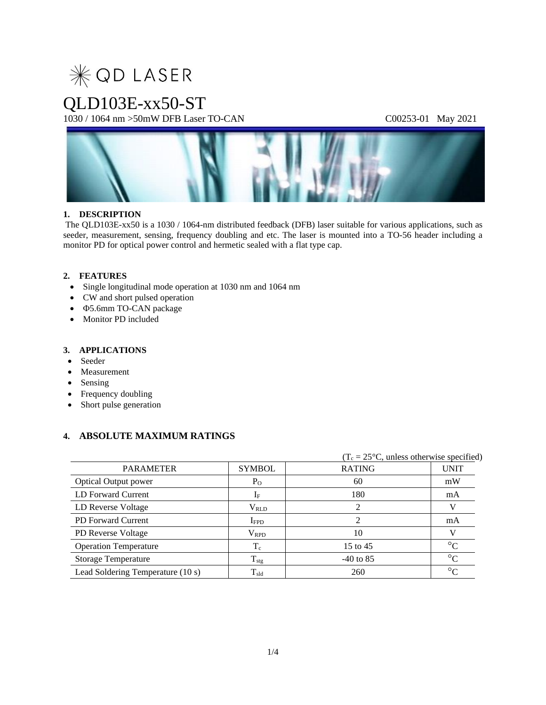

### QLD103E-xx50-ST

1030 / 1064 nm >50mW DFB Laser TO-CAN C00253-01 May 2021



### **1. DESCRIPTION**

The QLD103E-xx50 is a 1030 / 1064-nm distributed feedback (DFB) laser suitable for various applications, such as seeder, measurement, sensing, frequency doubling and etc. The laser is mounted into a TO-56 header including a monitor PD for optical power control and hermetic sealed with a flat type cap.

### **2. FEATURES**

- Single longitudinal mode operation at 1030 nm and 1064 nm
- CW and short pulsed operation
- $\Phi$ **5.6mm TO-CAN** package
- Monitor PD included

### **3. APPLICATIONS**

- Seeder
- Measurement
- Sensing
- Frequency doubling
- Short pulse generation

### **4. ABSOLUTE MAXIMUM RATINGS**

|                                   |                  |               | $(T_c = 25^{\circ}C$ , unless otherwise specified) |  |  |
|-----------------------------------|------------------|---------------|----------------------------------------------------|--|--|
| <b>PARAMETER</b>                  | <b>SYMBOL</b>    | <b>RATING</b> | <b>UNIT</b>                                        |  |  |
| <b>Optical Output power</b>       | $P_{O}$          | 60            | mW                                                 |  |  |
| LD Forward Current                | $1_{\rm F}$      | 180           | mA                                                 |  |  |
| LD Reverse Voltage                | $\rm V_{RLD}$    |               | V                                                  |  |  |
| <b>PD</b> Forward Current         | $I_{\rm FPD}$    |               | mA                                                 |  |  |
| PD Reverse Voltage                | $\rm V_{RPD}$    | 10            |                                                    |  |  |
| <b>Operation Temperature</b>      | $\rm T_c$        | 15 to 45      | $\rm ^{\circ}C$                                    |  |  |
| <b>Storage Temperature</b>        | $T_{\text{stg}}$ | $-40$ to 85   | $\rm ^{\circ}C$                                    |  |  |
| Lead Soldering Temperature (10 s) | $T_{\rm sld}$    | 260           | $\Gamma$                                           |  |  |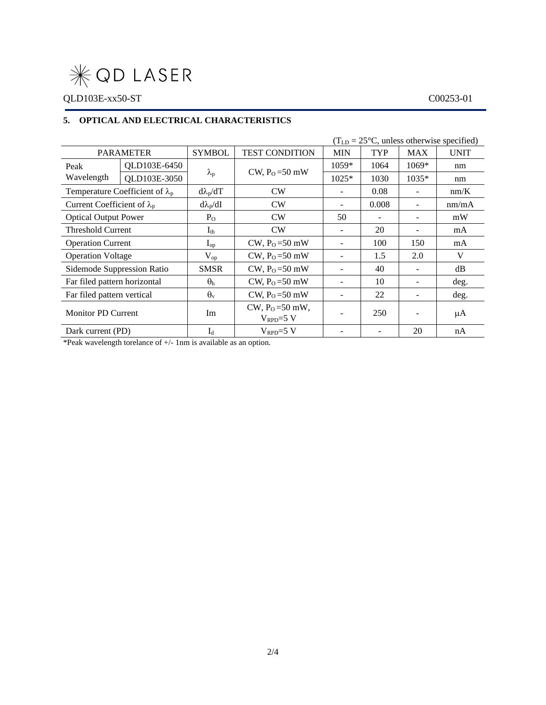# $*$ QD LASER

### QLD103E-xx50-ST C00253-01

### **5. OPTICAL AND ELECTRICAL CHARACTERISTICS**

| $(TLD = 25oC, unless otherwise specified)$ |                                        |                   |                                           |                          |            |                          |             |  |
|--------------------------------------------|----------------------------------------|-------------------|-------------------------------------------|--------------------------|------------|--------------------------|-------------|--|
| <b>PARAMETER</b>                           |                                        | <b>SYMBOL</b>     | <b>TEST CONDITION</b>                     | <b>MIN</b>               | <b>TYP</b> | <b>MAX</b>               | <b>UNIT</b> |  |
| Peak                                       | QLD103E-6450                           |                   |                                           | $1059*$                  | 1064       | $1069*$                  | nm          |  |
| Wavelength                                 | QLD103E-3050                           | $\lambda_{\rm p}$ | CW, $P_0 = 50$ mW                         | $1025*$                  | 1030       | $1035*$                  | nm          |  |
|                                            | Temperature Coefficient of $\lambda_p$ | $d\lambda_p/dT$   | CW                                        | -                        | 0.08       | $\overline{\phantom{a}}$ | nm/K        |  |
| Current Coefficient of $\lambda_p$         |                                        | $d\lambda_p/dI$   | CW                                        | $\overline{\phantom{0}}$ | 0.008      |                          | nm/mA       |  |
| <b>Optical Output Power</b>                |                                        | $P_{O}$           | CW                                        | 50                       |            |                          | mW          |  |
| <b>Threshold Current</b>                   |                                        | $I_{th}$          | CW                                        |                          | 20         |                          | mA          |  |
| <b>Operation Current</b>                   |                                        | $I_{op}$          | CW, $P_0 = 50$ mW                         |                          | 100        | 150                      | mA          |  |
| <b>Operation Voltage</b>                   |                                        | $V_{op}$          | CW, $P_0 = 50$ mW                         | $\overline{\phantom{a}}$ | 1.5        | 2.0                      | V           |  |
| Sidemode Suppression Ratio                 |                                        | <b>SMSR</b>       | CW, $PO=50$ mW                            | $\overline{\phantom{0}}$ | 40         |                          | dB          |  |
| Far filed pattern horizontal               |                                        | $\theta_h$        | CW, $P_0 = 50$ mW                         | $\overline{\phantom{a}}$ | 10         |                          | deg.        |  |
| Far filed pattern vertical                 |                                        | $\theta_{\rm v}$  | CW, $P_0 = 50$ mW                         |                          | 22         |                          | deg.        |  |
| <b>Monitor PD Current</b>                  |                                        | Im                | $CW, P_0 = 50$ mW,<br>$V_{\rm RPD} = 5 V$ |                          | 250        |                          | μA          |  |
| Dark current (PD)                          |                                        | $I_d$             | $V_{\rm RPD} = 5 V$                       |                          |            | 20                       | nA          |  |

\*Peak wavelength torelance of +/- 1nm is available as an option.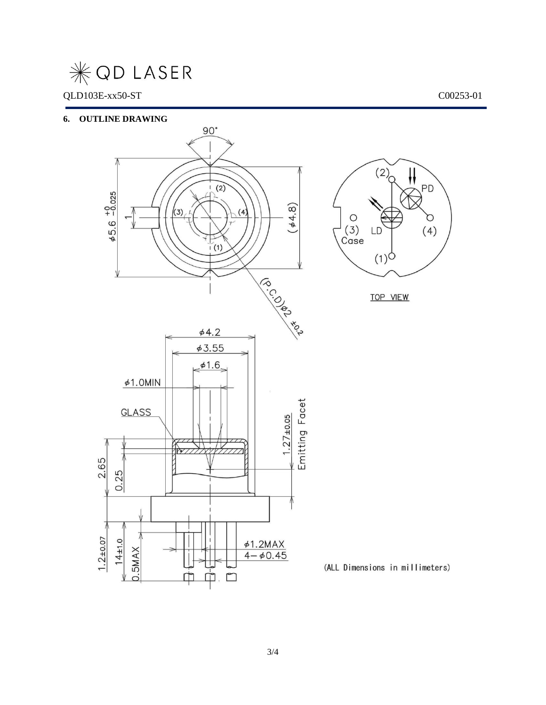## **WOD LASER**

### QLD103E-xx50-ST C00253-01